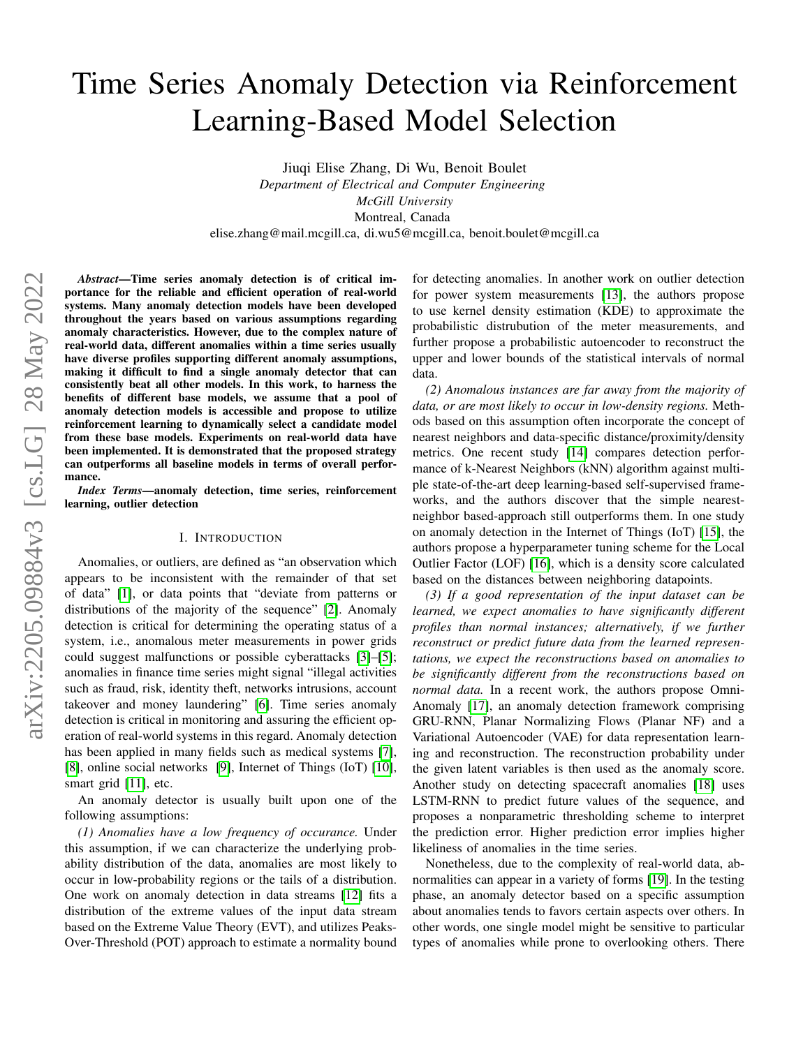# Time Series Anomaly Detection via Reinforcement Learning-Based Model Selection

Jiuqi Elise Zhang, Di Wu, Benoit Boulet *Department of Electrical and Computer Engineering McGill University* Montreal, Canada elise.zhang@mail.mcgill.ca, di.wu5@mcgill.ca, benoit.boulet@mcgill.ca

*Abstract*—Time series anomaly detection is of critical importance for the reliable and efficient operation of real-world systems. Many anomaly detection models have been developed throughout the years based on various assumptions regarding anomaly characteristics. However, due to the complex nature of real-world data, different anomalies within a time series usually have diverse profiles supporting different anomaly assumptions, making it difficult to find a single anomaly detector that can consistently beat all other models. In this work, to harness the benefits of different base models, we assume that a pool of anomaly detection models is accessible and propose to utilize reinforcement learning to dynamically select a candidate model from these base models. Experiments on real-world data have been implemented. It is demonstrated that the proposed strategy can outperforms all baseline models in terms of overall performance.

*Index Terms*—anomaly detection, time series, reinforcement learning, outlier detection

## I. INTRODUCTION

Anomalies, or outliers, are defined as "an observation which appears to be inconsistent with the remainder of that set of data" [\[1\]](#page-5-0), or data points that "deviate from patterns or distributions of the majority of the sequence" [\[2\]](#page-5-1). Anomaly detection is critical for determining the operating status of a system, i.e., anomalous meter measurements in power grids could suggest malfunctions or possible cyberattacks [\[3\]](#page-5-2)–[\[5\]](#page-5-3); anomalies in finance time series might signal "illegal activities such as fraud, risk, identity theft, networks intrusions, account takeover and money laundering" [\[6\]](#page-5-4). Time series anomaly detection is critical in monitoring and assuring the efficient operation of real-world systems in this regard. Anomaly detection has been applied in many fields such as medical systems [\[7\]](#page-5-5), [\[8\]](#page-5-6), online social networks [\[9\]](#page-5-7), Internet of Things (IoT) [\[10\]](#page-5-8), smart grid [\[11\]](#page-5-9), etc.

An anomaly detector is usually built upon one of the following assumptions:

*(1) Anomalies have a low frequency of occurance.* Under this assumption, if we can characterize the underlying probability distribution of the data, anomalies are most likely to occur in low-probability regions or the tails of a distribution. One work on anomaly detection in data streams [\[12\]](#page-5-10) fits a distribution of the extreme values of the input data stream based on the Extreme Value Theory (EVT), and utilizes Peaks-Over-Threshold (POT) approach to estimate a normality bound for detecting anomalies. In another work on outlier detection for power system measurements [\[13\]](#page-5-11), the authors propose to use kernel density estimation (KDE) to approximate the probabilistic distrubution of the meter measurements, and further propose a probabilistic autoencoder to reconstruct the upper and lower bounds of the statistical intervals of normal data.

*(2) Anomalous instances are far away from the majority of data, or are most likely to occur in low-density regions.* Methods based on this assumption often incorporate the concept of nearest neighbors and data-specific distance/proximity/density metrics. One recent study [\[14\]](#page-5-12) compares detection performance of k-Nearest Neighbors (kNN) algorithm against multiple state-of-the-art deep learning-based self-supervised frameworks, and the authors discover that the simple nearestneighbor based-approach still outperforms them. In one study on anomaly detection in the Internet of Things (IoT) [\[15\]](#page-5-13), the authors propose a hyperparameter tuning scheme for the Local Outlier Factor (LOF) [\[16\]](#page-5-14), which is a density score calculated based on the distances between neighboring datapoints.

*(3) If a good representation of the input dataset can be learned, we expect anomalies to have significantly different profiles than normal instances; alternatively, if we further reconstruct or predict future data from the learned representations, we expect the reconstructions based on anomalies to be significantly different from the reconstructions based on normal data.* In a recent work, the authors propose Omni-Anomaly [\[17\]](#page-5-15), an anomaly detection framework comprising GRU-RNN, Planar Normalizing Flows (Planar NF) and a Variational Autoencoder (VAE) for data representation learning and reconstruction. The reconstruction probability under the given latent variables is then used as the anomaly score. Another study on detecting spacecraft anomalies [\[18\]](#page-5-16) uses LSTM-RNN to predict future values of the sequence, and proposes a nonparametric thresholding scheme to interpret the prediction error. Higher prediction error implies higher likeliness of anomalies in the time series.

Nonetheless, due to the complexity of real-world data, abnormalities can appear in a variety of forms [\[19\]](#page-5-17). In the testing phase, an anomaly detector based on a specific assumption about anomalies tends to favors certain aspects over others. In other words, one single model might be sensitive to particular types of anomalies while prone to overlooking others. There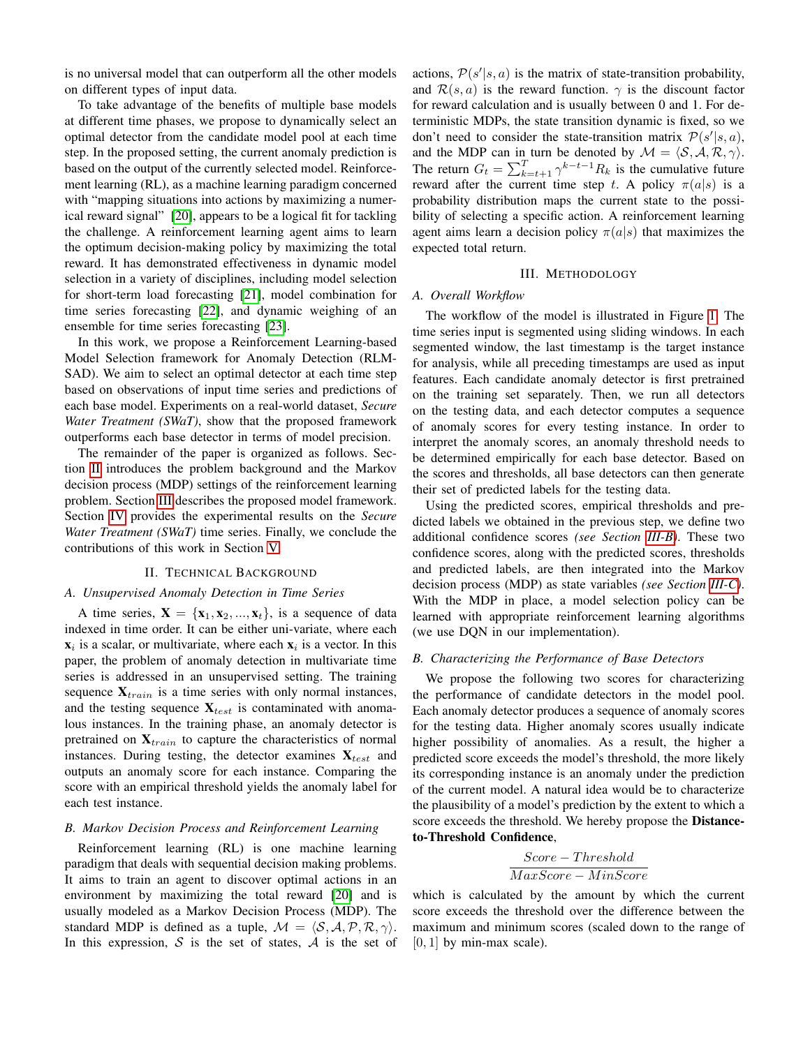is no universal model that can outperform all the other models on different types of input data.

To take advantage of the benefits of multiple base models at different time phases, we propose to dynamically select an optimal detector from the candidate model pool at each time step. In the proposed setting, the current anomaly prediction is based on the output of the currently selected model. Reinforcement learning (RL), as a machine learning paradigm concerned with "mapping situations into actions by maximizing a numerical reward signal" [\[20\]](#page-5-18), appears to be a logical fit for tackling the challenge. A reinforcement learning agent aims to learn the optimum decision-making policy by maximizing the total reward. It has demonstrated effectiveness in dynamic model selection in a variety of disciplines, including model selection for short-term load forecasting [\[21\]](#page-5-19), model combination for time series forecasting [\[22\]](#page-5-20), and dynamic weighing of an ensemble for time series forecasting [\[23\]](#page-5-21).

In this work, we propose a Reinforcement Learning-based Model Selection framework for Anomaly Detection (RLM-SAD). We aim to select an optimal detector at each time step based on observations of input time series and predictions of each base model. Experiments on a real-world dataset, *Secure Water Treatment (SWaT)*, show that the proposed framework outperforms each base detector in terms of model precision.

The remainder of the paper is organized as follows. Section [II](#page-1-0) introduces the problem background and the Markov decision process (MDP) settings of the reinforcement learning problem. Section [III](#page-1-1) describes the proposed model framework. Section [IV](#page-3-0) provides the experimental results on the *Secure Water Treatment (SWaT)* time series. Finally, we conclude the contributions of this work in Section [V.](#page-4-0)

#### II. TECHNICAL BACKGROUND

## <span id="page-1-0"></span>*A. Unsupervised Anomaly Detection in Time Series*

A time series,  $X = \{x_1, x_2, ..., x_t\}$ , is a sequence of data indexed in time order. It can be either uni-variate, where each  $x_i$  is a scalar, or multivariate, where each  $x_i$  is a vector. In this paper, the problem of anomaly detection in multivariate time series is addressed in an unsupervised setting. The training sequence  $X_{train}$  is a time series with only normal instances, and the testing sequence  $\mathbf{X}_{test}$  is contaminated with anomalous instances. In the training phase, an anomaly detector is pretrained on  $\mathbf{X}_{train}$  to capture the characteristics of normal instances. During testing, the detector examines  $\mathbf{X}_{test}$  and outputs an anomaly score for each instance. Comparing the score with an empirical threshold yields the anomaly label for each test instance.

#### *B. Markov Decision Process and Reinforcement Learning*

Reinforcement learning (RL) is one machine learning paradigm that deals with sequential decision making problems. It aims to train an agent to discover optimal actions in an environment by maximizing the total reward [\[20\]](#page-5-18) and is usually modeled as a Markov Decision Process (MDP). The standard MDP is defined as a tuple,  $M = \langle S, A, P, R, \gamma \rangle$ . In this expression,  $S$  is the set of states,  $A$  is the set of

actions,  $P(s'|s, a)$  is the matrix of state-transition probability, and  $\mathcal{R}(s, a)$  is the reward function.  $\gamma$  is the discount factor for reward calculation and is usually between 0 and 1. For deterministic MDPs, the state transition dynamic is fixed, so we don't need to consider the state-transition matrix  $\mathcal{P}(s'|s, a)$ , and the MDP can in turn be denoted by  $\mathcal{M} = \langle \mathcal{S}, \mathcal{A}, \mathcal{R}, \gamma \rangle$ . The return  $G_t = \sum_{k=t+1}^{T} \gamma^{k-t-1} R_k$  is the cumulative future reward after the current time step t. A policy  $\pi(a|s)$  is a probability distribution maps the current state to the possibility of selecting a specific action. A reinforcement learning agent aims learn a decision policy  $\pi(a|s)$  that maximizes the expected total return.

#### III. METHODOLOGY

#### <span id="page-1-1"></span>*A. Overall Workflow*

The workflow of the model is illustrated in Figure [1.](#page-2-0) The time series input is segmented using sliding windows. In each segmented window, the last timestamp is the target instance for analysis, while all preceding timestamps are used as input features. Each candidate anomaly detector is first pretrained on the training set separately. Then, we run all detectors on the testing data, and each detector computes a sequence of anomaly scores for every testing instance. In order to interpret the anomaly scores, an anomaly threshold needs to be determined empirically for each base detector. Based on the scores and thresholds, all base detectors can then generate their set of predicted labels for the testing data.

Using the predicted scores, empirical thresholds and predicted labels we obtained in the previous step, we define two additional confidence scores *(see Section [III-B\)](#page-1-2)*. These two confidence scores, along with the predicted scores, thresholds and predicted labels, are then integrated into the Markov decision process (MDP) as state variables *(see Section [III-C\)](#page-2-1)*. With the MDP in place, a model selection policy can be learned with appropriate reinforcement learning algorithms (we use DQN in our implementation).

#### <span id="page-1-2"></span>*B. Characterizing the Performance of Base Detectors*

We propose the following two scores for characterizing the performance of candidate detectors in the model pool. Each anomaly detector produces a sequence of anomaly scores for the testing data. Higher anomaly scores usually indicate higher possibility of anomalies. As a result, the higher a predicted score exceeds the model's threshold, the more likely its corresponding instance is an anomaly under the prediction of the current model. A natural idea would be to characterize the plausibility of a model's prediction by the extent to which a score exceeds the threshold. We hereby propose the Distanceto-Threshold Confidence,

$$
\frac{Score-Threshold}{MaxScore - MinScore}
$$

which is calculated by the amount by which the current score exceeds the threshold over the difference between the maximum and minimum scores (scaled down to the range of  $[0, 1]$  by min-max scale).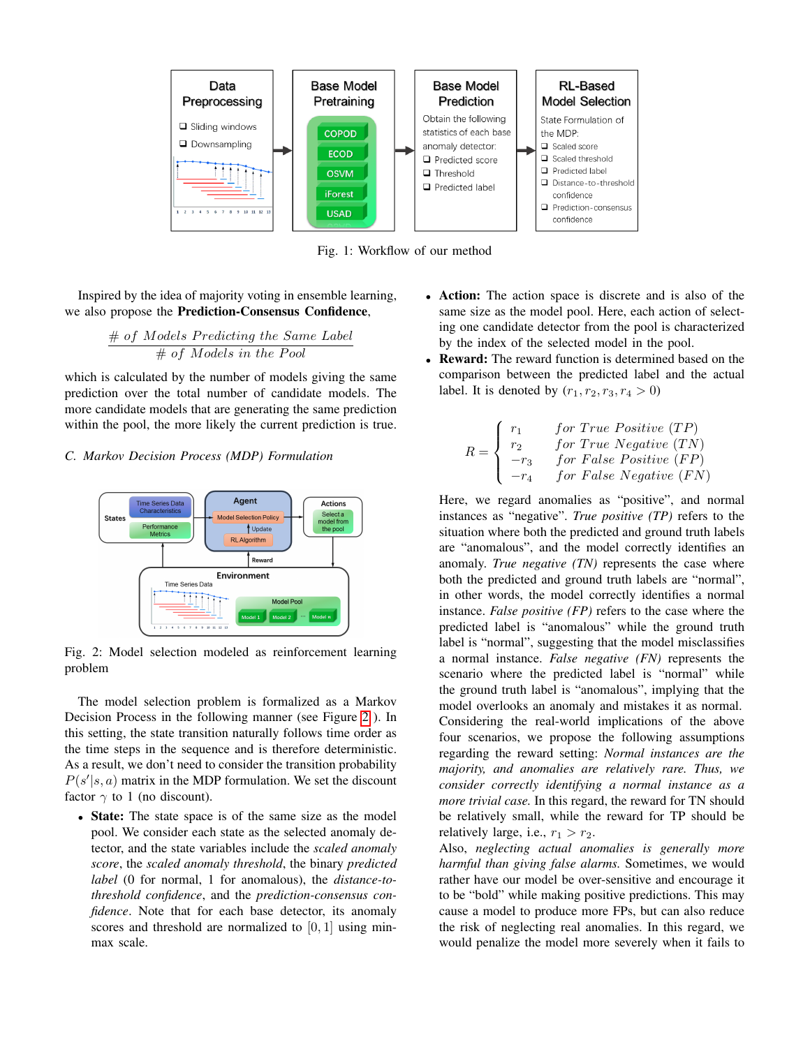<span id="page-2-0"></span>

Fig. 1: Workflow of our method

Inspired by the idea of majority voting in ensemble learning, we also propose the Prediction-Consensus Confidence,

$$
\frac{\#~of~Models~Predicting~the~Same~Label}{\#~of~Models~in~the~Pool}
$$

which is calculated by the number of models giving the same prediction over the total number of candidate models. The more candidate models that are generating the same prediction within the pool, the more likely the current prediction is true.

# <span id="page-2-1"></span>*C. Markov Decision Process (MDP) Formulation*

<span id="page-2-2"></span>

Fig. 2: Model selection modeled as reinforcement learning problem

The model selection problem is formalized as a Markov Decision Process in the following manner (see Figure [2](#page-2-2) ). In this setting, the state transition naturally follows time order as the time steps in the sequence and is therefore deterministic. As a result, we don't need to consider the transition probability  $P(s'|s, a)$  matrix in the MDP formulation. We set the discount factor  $\gamma$  to 1 (no discount).

• State: The state space is of the same size as the model pool. We consider each state as the selected anomaly detector, and the state variables include the *scaled anomaly score*, the *scaled anomaly threshold*, the binary *predicted label* (0 for normal, 1 for anomalous), the *distance-tothreshold confidence*, and the *prediction-consensus confidence*. Note that for each base detector, its anomaly scores and threshold are normalized to [0, 1] using minmax scale.

- Action: The action space is discrete and is also of the same size as the model pool. Here, each action of selecting one candidate detector from the pool is characterized by the index of the selected model in the pool.
- Reward: The reward function is determined based on the comparison between the predicted label and the actual label. It is denoted by  $(r_1, r_2, r_3, r_4 > 0)$

$$
R = \left\{ \begin{array}{ll} r_1 & for\ True\ Positive\ (TP) \\ r_2 & for\ True\ Negative\ (TN) \\ -r_3 & for\ False\ Positive\ (FP) \\ -r_4 & for\ False\ Negative\ (FN) \end{array} \right.
$$

Here, we regard anomalies as "positive", and normal instances as "negative". *True positive (TP)* refers to the situation where both the predicted and ground truth labels are "anomalous", and the model correctly identifies an anomaly. *True negative (TN)* represents the case where both the predicted and ground truth labels are "normal", in other words, the model correctly identifies a normal instance. *False positive (FP)* refers to the case where the predicted label is "anomalous" while the ground truth label is "normal", suggesting that the model misclassifies a normal instance. *False negative (FN)* represents the scenario where the predicted label is "normal" while the ground truth label is "anomalous", implying that the model overlooks an anomaly and mistakes it as normal. Considering the real-world implications of the above four scenarios, we propose the following assumptions regarding the reward setting: *Normal instances are the majority, and anomalies are relatively rare. Thus, we consider correctly identifying a normal instance as a more trivial case.* In this regard, the reward for TN should be relatively small, while the reward for TP should be relatively large, i.e.,  $r_1 > r_2$ .

Also, *neglecting actual anomalies is generally more harmful than giving false alarms.* Sometimes, we would rather have our model be over-sensitive and encourage it to be "bold" while making positive predictions. This may cause a model to produce more FPs, but can also reduce the risk of neglecting real anomalies. In this regard, we would penalize the model more severely when it fails to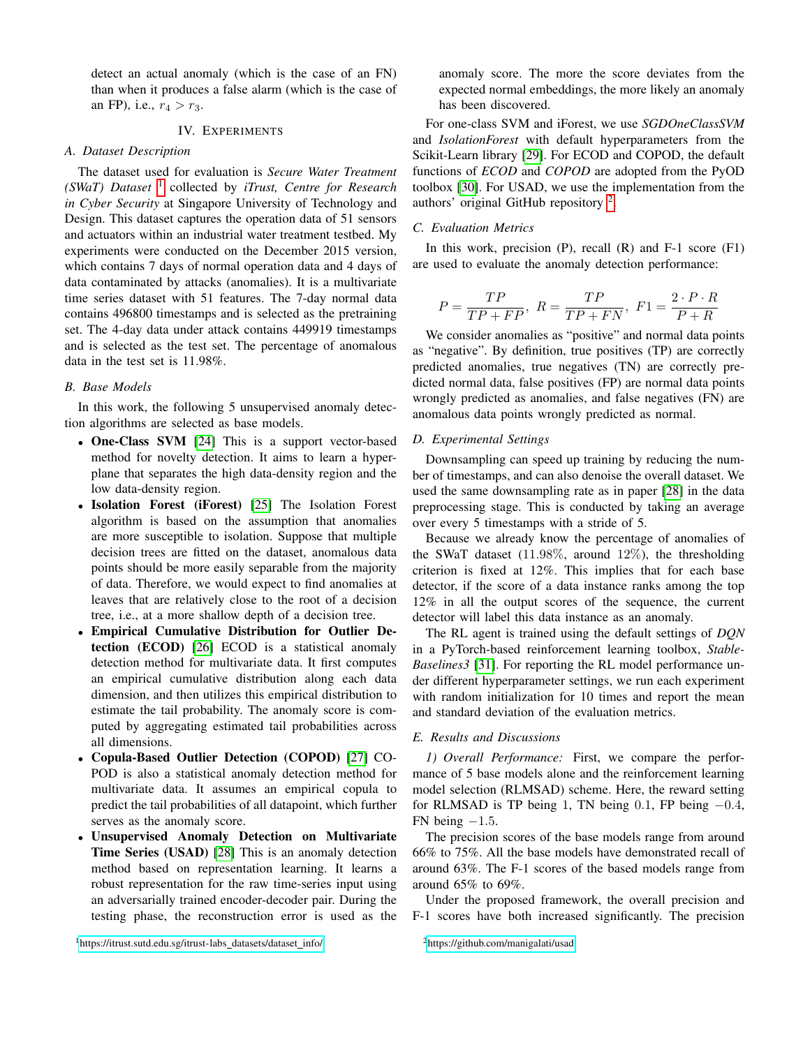detect an actual anomaly (which is the case of an FN) than when it produces a false alarm (which is the case of an FP), i.e.,  $r_4 > r_3$ .

# IV. EXPERIMENTS

## <span id="page-3-0"></span>*A. Dataset Description*

The dataset used for evaluation is *Secure Water Treatment (SWaT) Dataset* [1](#page-3-1) collected by *iTrust, Centre for Research in Cyber Security* at Singapore University of Technology and Design. This dataset captures the operation data of 51 sensors and actuators within an industrial water treatment testbed. My experiments were conducted on the December 2015 version, which contains 7 days of normal operation data and 4 days of data contaminated by attacks (anomalies). It is a multivariate time series dataset with 51 features. The 7-day normal data contains 496800 timestamps and is selected as the pretraining set. The 4-day data under attack contains 449919 timestamps and is selected as the test set. The percentage of anomalous data in the test set is 11.98%.

## *B. Base Models*

In this work, the following 5 unsupervised anomaly detection algorithms are selected as base models.

- One-Class SVM [\[24\]](#page-5-22) This is a support vector-based method for novelty detection. It aims to learn a hyperplane that separates the high data-density region and the low data-density region.
- Isolation Forest (iForest) [\[25\]](#page-5-23) The Isolation Forest algorithm is based on the assumption that anomalies are more susceptible to isolation. Suppose that multiple decision trees are fitted on the dataset, anomalous data points should be more easily separable from the majority of data. Therefore, we would expect to find anomalies at leaves that are relatively close to the root of a decision tree, i.e., at a more shallow depth of a decision tree.
- Empirical Cumulative Distribution for Outlier Detection (ECOD) [\[26\]](#page-5-24) ECOD is a statistical anomaly detection method for multivariate data. It first computes an empirical cumulative distribution along each data dimension, and then utilizes this empirical distribution to estimate the tail probability. The anomaly score is computed by aggregating estimated tail probabilities across all dimensions.
- Copula-Based Outlier Detection (COPOD) [\[27\]](#page-5-25) CO-POD is also a statistical anomaly detection method for multivariate data. It assumes an empirical copula to predict the tail probabilities of all datapoint, which further serves as the anomaly score.
- Unsupervised Anomaly Detection on Multivariate Time Series (USAD) [\[28\]](#page-5-26) This is an anomaly detection method based on representation learning. It learns a robust representation for the raw time-series input using an adversarially trained encoder-decoder pair. During the testing phase, the reconstruction error is used as the

anomaly score. The more the score deviates from the expected normal embeddings, the more likely an anomaly has been discovered.

For one-class SVM and iForest, we use *SGDOneClassSVM* and *IsolationForest* with default hyperparameters from the Scikit-Learn library [\[29\]](#page-5-27). For ECOD and COPOD, the default functions of *ECOD* and *COPOD* are adopted from the PyOD toolbox [\[30\]](#page-5-28). For USAD, we use the implementation from the authors' original GitHub repository<sup>[2](#page-3-2)</sup>.

# *C. Evaluation Metrics*

In this work, precision  $(P)$ , recall  $(R)$  and  $F-1$  score  $(F1)$ are used to evaluate the anomaly detection performance:

$$
P=\frac{TP}{TP+FP},\ R=\frac{TP}{TP+FN},\ F1=\frac{2\cdot P\cdot R}{P+R}
$$

We consider anomalies as "positive" and normal data points as "negative". By definition, true positives (TP) are correctly predicted anomalies, true negatives (TN) are correctly predicted normal data, false positives (FP) are normal data points wrongly predicted as anomalies, and false negatives (FN) are anomalous data points wrongly predicted as normal.

#### *D. Experimental Settings*

Downsampling can speed up training by reducing the number of timestamps, and can also denoise the overall dataset. We used the same downsampling rate as in paper [\[28\]](#page-5-26) in the data preprocessing stage. This is conducted by taking an average over every 5 timestamps with a stride of 5.

Because we already know the percentage of anomalies of the SWaT dataset  $(11.98\%$ , around  $12\%$ ), the thresholding criterion is fixed at 12%. This implies that for each base detector, if the score of a data instance ranks among the top 12% in all the output scores of the sequence, the current detector will label this data instance as an anomaly.

The RL agent is trained using the default settings of *DQN* in a PyTorch-based reinforcement learning toolbox, *Stable-Baselines3* [\[31\]](#page-5-29). For reporting the RL model performance under different hyperparameter settings, we run each experiment with random initialization for 10 times and report the mean and standard deviation of the evaluation metrics.

## *E. Results and Discussions*

*1) Overall Performance:* First, we compare the performance of 5 base models alone and the reinforcement learning model selection (RLMSAD) scheme. Here, the reward setting for RLMSAD is TP being 1, TN being  $0.1$ , FP being  $-0.4$ , FN being  $-1.5$ .

The precision scores of the base models range from around 66% to 75%. All the base models have demonstrated recall of around 63%. The F-1 scores of the based models range from around 65% to 69%.

<span id="page-3-2"></span>Under the proposed framework, the overall precision and F-1 scores have both increased significantly. The precision

<span id="page-3-1"></span><sup>1</sup>[https://itrust.sutd.edu.sg/itrust-labs](https://itrust.sutd.edu.sg/itrust-labs_datasets/dataset_info/)\_datasets/dataset\_info/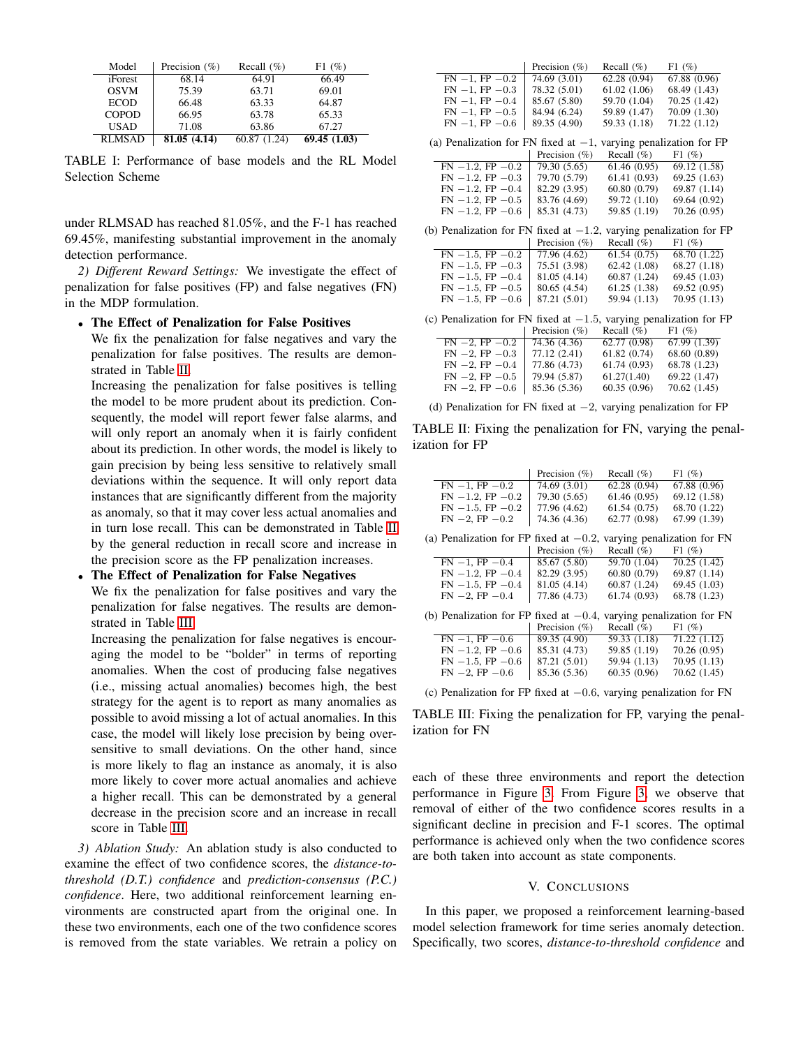| Model         | Precision $(\% )$ | Recall $(\% )$ | F1(%)       |
|---------------|-------------------|----------------|-------------|
| iForest       | 68.14             | 64.91          | 66.49       |
| <b>OSVM</b>   | 75.39             | 63.71          | 69.01       |
| <b>ECOD</b>   | 66.48             | 63.33          | 64.87       |
| <b>COPOD</b>  | 66.95             | 63.78          | 65.33       |
| <b>USAD</b>   | 71.08             | 63.86          | 67.27       |
| <b>RLMSAD</b> | 81.05(4.14)       | 60.87 (1.24)   | 69.45(1.03) |

TABLE I: Performance of base models and the RL Model Selection Scheme

under RLMSAD has reached 81.05%, and the F-1 has reached 69.45%, manifesting substantial improvement in the anomaly detection performance.

*2) Different Reward Settings:* We investigate the effect of penalization for false positives (FP) and false negatives (FN) in the MDP formulation.

#### • The Effect of Penalization for False Positives

We fix the penalization for false negatives and vary the penalization for false positives. The results are demonstrated in Table [II.](#page-4-1)

Increasing the penalization for false positives is telling the model to be more prudent about its prediction. Consequently, the model will report fewer false alarms, and will only report an anomaly when it is fairly confident about its prediction. In other words, the model is likely to gain precision by being less sensitive to relatively small deviations within the sequence. It will only report data instances that are significantly different from the majority as anomaly, so that it may cover less actual anomalies and in turn lose recall. This can be demonstrated in Table [II](#page-4-1) by the general reduction in recall score and increase in the precision score as the FP penalization increases.

#### • The Effect of Penalization for False Negatives

We fix the penalization for false positives and vary the penalization for false negatives. The results are demonstrated in Table [III.](#page-4-2)

Increasing the penalization for false negatives is encouraging the model to be "bolder" in terms of reporting anomalies. When the cost of producing false negatives (i.e., missing actual anomalies) becomes high, the best strategy for the agent is to report as many anomalies as possible to avoid missing a lot of actual anomalies. In this case, the model will likely lose precision by being oversensitive to small deviations. On the other hand, since is more likely to flag an instance as anomaly, it is also more likely to cover more actual anomalies and achieve a higher recall. This can be demonstrated by a general decrease in the precision score and an increase in recall score in Table [III.](#page-4-2)

*3) Ablation Study:* An ablation study is also conducted to examine the effect of two confidence scores, the *distance-tothreshold (D.T.) confidence* and *prediction-consensus (P.C.) confidence*. Here, two additional reinforcement learning environments are constructed apart from the original one. In these two environments, each one of the two confidence scores is removed from the state variables. We retrain a policy on

<span id="page-4-1"></span>

|                                                                       | Precision $(\%)$ | Recall $(\%)$  | $F1(\%)$                  |  |
|-----------------------------------------------------------------------|------------------|----------------|---------------------------|--|
| $FN -1$ , $FP -0.2$                                                   | 74.69 (3.01)     | 62.28 (0.94)   | 67.88 (0.96)              |  |
| $FN -1$ , $FP -0.3$                                                   | 78.32 (5.01)     | 61.02(1.06)    | 68.49 (1.43)              |  |
| $FN -1$ , $FP -0.4$                                                   | 85.67 (5.80)     | 59.70 (1.04)   | 70.25(1.42)               |  |
| $FN -1$ , $FP -0.5$                                                   | 84.94 (6.24)     | 59.89 (1.47)   | 70.09 (1.30)              |  |
| $FN -1$ , $FP -0.6$                                                   | 89.35 (4.90)     | 59.33 (1.18)   | 71.22 (1.12)              |  |
| (a) Penalization for FN fixed at $-1$ , varying penalization for FP   |                  |                |                           |  |
|                                                                       | Precision $(\%)$ | Recall $(\%)$  | F1(%)                     |  |
| $FN -1.2$ , $FP -0.2$                                                 | 79.30(5.65)      | 61.46(0.95)    | 69.12(1.58)               |  |
| $FN -1.2$ , $FP -0.3$                                                 | 79.70 (5.79)     | 61.41(0.93)    | 69.25 (1.63)              |  |
| $FN -1.2$ , $FP -0.4$                                                 | 82.29 (3.95)     | 60.80 (0.79)   | 69.87 (1.14)              |  |
| $FN -1.2$ , $FP -0.5$                                                 | 83.76 (4.69)     | 59.72 (1.10)   | 69.64 (0.92)              |  |
| $FN -1.2$ , $FP -0.6$                                                 | 85.31 (4.73)     | 59.85 (1.19)   | 70.26 (0.95)              |  |
| (b) Penalization for FN fixed at $-1.2$ , varying penalization for FP |                  |                |                           |  |
|                                                                       | Precision $(\%)$ | Recall $(\%)$  | $F1(\%)$                  |  |
| $FN -1.5$ , $FP -0.2$                                                 | 77.96 (4.62)     | 61.54(0.75)    | 68.70(1.22)               |  |
| $FN -1.5$ , $FP -0.3$                                                 | 75.51 (3.98)     | 62.42(1.08)    | 68.27 (1.18)              |  |
| $FN -1.5$ , $FP -0.4$                                                 | 81.05 (4.14)     | 60.87 (1.24)   | 69.45 (1.03)              |  |
| $FN -1.5$ , $FP -0.5$                                                 | 80.65 (4.54)     | 61.25(1.38)    | 69.52 (0.95)              |  |
| $FN -1.5$ , $FP -0.6$                                                 | 87.21 (5.01)     | 59.94 (1.13)   | 70.95(1.13)               |  |
| (c) Penalization for FN fixed at $-1.5$ , varying penalization for FP |                  |                |                           |  |
|                                                                       | Precision $(\%)$ | Recall $(\% )$ | F1(%)                     |  |
| $FN -2$ , $FP -0.2$                                                   | 74.36 (4.36)     | 62.77(0.98)    | $\overline{67.99}$ (1.39) |  |
| $FN -2$ , $FP -0.3$                                                   | 77.12 (2.41)     | 61.82(0.74)    | 68.60 (0.89)              |  |
| $FN -2$ , $FP -0.4$                                                   | 77.86 (4.73)     | 61.74(0.93)    | 68.78 (1.23)              |  |

| $FN -2$ , $FP -0.5$   79.94 (5.87) | 61.27(1.40)  | 69.22 (1.47) |  |
|------------------------------------|--------------|--------------|--|
| $FN -2$ , $FP -0.6$   85.36 (5.36) | 60.35 (0.96) | 70.62 (1.45) |  |
|                                    |              |              |  |

(d) Penalization for FN fixed at −2, varying penalization for FP

TABLE II: Fixing the penalization for FN, varying the penalization for FP

<span id="page-4-2"></span>

|                                                                          | Precision $(\% )$ | Recall $(\%)$  | F1(%)                     |
|--------------------------------------------------------------------------|-------------------|----------------|---------------------------|
| $FN -1$ , $FP -0.2$                                                      | 74.69(3.01)       | 62.28(0.94)    | 67.88(0.96)               |
| $FN -1.2$ , $FP -0.2$                                                    | 79.30 (5.65)      | 61.46(0.95)    | 69.12 (1.58)              |
| $FN -1.5$ , $FP -0.2$                                                    | 77.96 (4.62)      | 61.54(0.75)    | 68.70 (1.22)              |
| $FN -2$ , $FP -0.2$                                                      | 74.36 (4.36)      | 62.77 (0.98)   | 67.99 (1.39)              |
| (a) Penalization for FP fixed at $-0.2$ ,<br>varying penalization for FN |                   |                |                           |
|                                                                          | Precision $(\%)$  | Recall $(\% )$ | $F1(\%)$                  |
| $FN -1$ , $FP -0.4$                                                      | 85.67 (5.80)      | 59.70 (1.04)   | $\overline{70.25}$ (1.42) |
| $FN -1.2$ , $FP -0.4$                                                    | 82.29 (3.95)      | 60.80 (0.79)   | 69.87 (1.14)              |
| $FN -1.5$ . $FP -0.4$                                                    | 81.05 (4.14)      | 60.87(1.24)    | 69.45 (1.03)              |
| $FN -2$ , $FP -0.4$                                                      | 77.86 (4.73)      | 61.74 (0.93)   | 68.78 (1.23)              |
| (b) Penalization for FP fixed at $-0.4$ ,<br>varying penalization for FN |                   |                |                           |
|                                                                          | Precision $(\%)$  | Recall $(\% )$ | $F1(\%)$                  |
| $FN -1$ , $FP -0.6$                                                      | 89.35 (4.90)      | 59.33 (1.18)   | 71.22(1.12)               |
| $FN -1.2$ , $FP -0.6$                                                    | 85.31 (4.73)      | 59.85 (1.19)   | 70.26 (0.95)              |
| $FN -1.5$ , $FP -0.6$                                                    | 87.21 (5.01)      | 59.94 (1.13)   | 70.95 (1.13)              |
| $FN -2$ , $FP -0.6$                                                      | 85.36 (5.36)      | 60.35(0.96)    | 70.62 (1.45)              |
|                                                                          |                   |                |                           |

(c) Penalization for FP fixed at −0.6, varying penalization for FN

TABLE III: Fixing the penalization for FP, varying the penalization for FN

each of these three environments and report the detection performance in Figure [3.](#page-5-30) From Figure [3,](#page-5-30) we observe that removal of either of the two confidence scores results in a significant decline in precision and F-1 scores. The optimal performance is achieved only when the two confidence scores are both taken into account as state components.

## V. CONCLUSIONS

<span id="page-4-0"></span>In this paper, we proposed a reinforcement learning-based model selection framework for time series anomaly detection. Specifically, two scores, *distance-to-threshold confidence* and